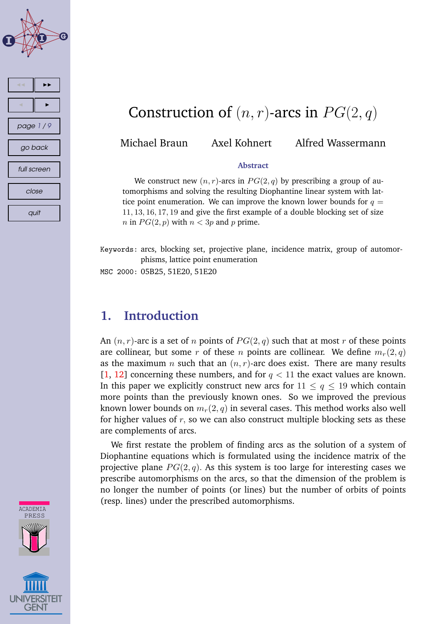



# Construction of  $(n, r)$ -arcs in  $PG(2, q)$

Michael Braun Axel Kohnert Alfred Wassermann

### **Abstract**

We construct new  $(n, r)$ -arcs in  $PG(2, q)$  by prescribing a group of automorphisms and solving the resulting Diophantine linear system with lattice point enumeration. We can improve the known lower bounds for  $q =$ 11, 13, 16, 17, 19 and give the first example of a double blocking set of size *n* in  $PG(2, p)$  with  $n < 3p$  and p prime.

Keywords: arcs, blocking set, projective plane, incidence matrix, group of automorphisms, lattice point enumeration

MSC 2000: 05B25, 51E20, 51E20

### **1. Introduction**

An  $(n, r)$ -arc is a set of n points of  $PG(2, q)$  such that at most r of these points are collinear, but some r of these n points are collinear. We define  $m_r(2, q)$ as the maximum *n* such that an  $(n, r)$ -arc does exist. There are many results [\[1,](#page-7-0) [12\]](#page-8-0) concerning these numbers, and for  $q < 11$  the exact values are known. In this paper we explicitly construct new arcs for  $11 \le q \le 19$  which contain more points than the previously known ones. So we improved the previous known lower bounds on  $m_r(2, q)$  in several cases. This method works also well for higher values of  $r$ , so we can also construct multiple blocking sets as these are complements of arcs.

We first restate the problem of finding arcs as the solution of a system of Diophantine equations which is formulated using the incidence matrix of the projective plane  $PG(2, q)$ . As this system is too large for interesting cases we prescribe automorphisms on the arcs, so that the dimension of the problem is no longer the number of points (or lines) but the number of orbits of points (resp. lines) under the prescribed automorphisms.

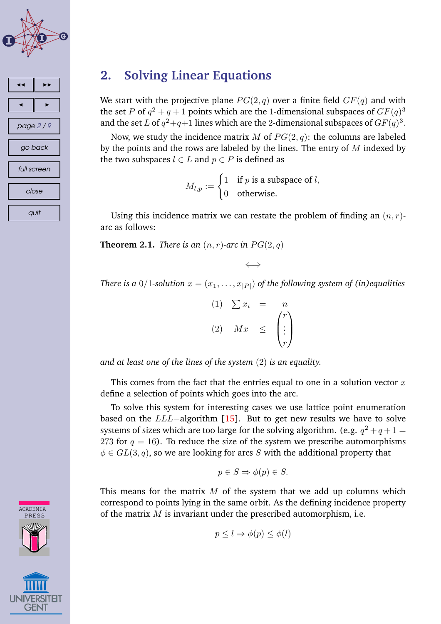



## **2. Solving Linear Equations**

We start with the projective plane  $PG(2, q)$  over a finite field  $GF(q)$  and with the set P of  $q^2+q+1$  points which are the 1-dimensional subspaces of  $GF(q)^3$ and the set  $L$  of  $q^2+q+1$  lines which are the 2-dimensional subspaces of  $GF(q)^3.$ 

Now, we study the incidence matrix M of  $PG(2, q)$ : the columns are labeled by the points and the rows are labeled by the lines. The entry of  $M$  indexed by the two subspaces  $l \in L$  and  $p \in P$  is defined as

$$
M_{l,p} := \begin{cases} 1 & \text{if } p \text{ is a subspace of } l, \\ 0 & \text{otherwise.} \end{cases}
$$

Using this incidence matrix we can restate the problem of finding an  $(n, r)$ arc as follows:

**Theorem 2.1.** *There is* an  $(n, r)$ *-arc in*  $PG(2, q)$ 

$$
\iff
$$

*There is a* 0/1-solution  $x = (x_1, \ldots, x_{|P|})$  *of the following system of (in)equalities* 

| (1) | $\sum x_i$ | $\, n \,$ |
|-----|------------|-----------|
| (2) | Mx         |           |

*and at least one of the lines of the system* (2) *is an equality.*

This comes from the fact that the entries equal to one in a solution vector  $x$ define a selection of points which goes into the arc.

To solve this system for interesting cases we use lattice point enumeration based on the LLL−algorithm [\[15\]](#page-8-0). But to get new results we have to solve systems of sizes which are too large for the solving algorithm. (e.g.  $q^2+q+1=$ 273 for  $q = 16$ ). To reduce the size of the system we prescribe automorphisms  $\phi \in GL(3, q)$ , so we are looking for arcs S with the additional property that

$$
p\in S\Rightarrow \phi(p)\in S.
$$

This means for the matrix  $M$  of the system that we add up columns which correspond to points lying in the same orbit. As the defining incidence property of the matrix  $M$  is invariant under the prescribed automorphism, i.e.

$$
p \leq l \Rightarrow \phi(p) \leq \phi(l)
$$

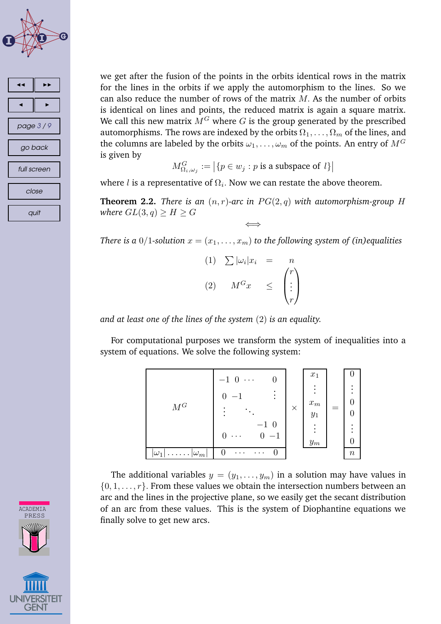



we get after the fusion of the points in the orbits identical rows in the matrix for the lines in the orbits if we apply the automorphism to the lines. So we can also reduce the number of rows of the matrix  $M$ . As the number of orbits is identical on lines and points, the reduced matrix is again a square matrix. We call this new matrix  $\hat{M}^G$  where G is the group generated by the prescribed automorphisms. The rows are indexed by the orbits  $\Omega_1, \ldots, \Omega_m$  of the lines, and the columns are labeled by the orbits  $\omega_1, \ldots, \omega_m$  of the points. An entry of  $M^G$ is given by

$$
M_{\Omega_i,\omega_j}^G:=\big|\{p\in w_j:p\text{ is a subspace of }l\}\big|
$$

where  $l$  is a representative of  $\Omega_i$ . Now we can restate the above theorem.

**Theorem 2.2.** *There is an*  $(n, r)$ -arc *in*  $PG(2, q)$  *with automorphism-group H where*  $GL(3,q) \geq H \geq G$ 

⇐⇒ *There is a* 0/1-solution  $x = (x_1, \ldots, x_m)$  *to the following system of (in)equalities* 

$$
(1) \quad \sum |\omega_i| x_i = n
$$
  

$$
(2) \quad M^G x \quad \leq \quad \begin{pmatrix} r \\ \vdots \\ r \end{pmatrix}
$$

*and at least one of the lines of the system* (2) *is an equality.*

For computational purposes we transform the system of inequalities into a system of equations. We solve the following system:



The additional variables  $y = (y_1, \ldots, y_m)$  in a solution may have values in  $\{0, 1, \ldots, r\}$ . From these values we obtain the intersection numbers between an arc and the lines in the projective plane, so we easily get the secant distribution of an arc from these values. This is the system of Diophantine equations we finally solve to get new arcs.

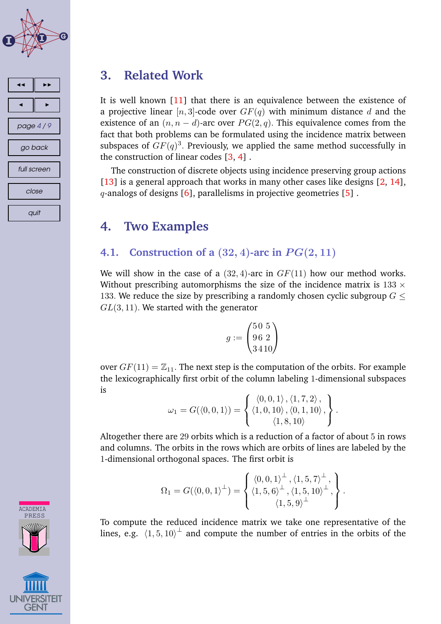



## **3. Related Work**

It is well known [\[11\]](#page-7-0) that there is an equivalence between the existence of a projective linear [n, 3]-code over  $GF(q)$  with minimum distance d and the existence of an  $(n, n - d)$ -arc over  $PG(2, q)$ . This equivalence comes from the fact that both problems can be formulated using the incidence matrix between subspaces of  $GF(q)^3$ . Previously, we applied the same method successfully in the construction of linear codes [\[3,](#page-7-0) [4\]](#page-7-0) .

The construction of discrete objects using incidence preserving group actions [\[13\]](#page-8-0) is a general approach that works in many other cases like designs [\[2,](#page-7-0) [14\]](#page-8-0),  $q$ -analogs of designs [\[6\]](#page-7-0), parallelisms in projective geometries [\[5\]](#page-7-0).

## **4. Two Examples**

### **4.1. Construction of a**  $(32, 4)$ -arc in  $PG(2, 11)$

We will show in the case of a  $(32, 4)$ -arc in  $GF(11)$  how our method works. Without prescribing automorphisms the size of the incidence matrix is  $133 \times$ 133. We reduce the size by prescribing a randomly chosen cyclic subgroup  $G \leq$  $GL(3, 11)$ . We started with the generator

$$
g := \begin{pmatrix} 50 & 5 \\ 96 & 2 \\ 3 & 4 & 10 \end{pmatrix}
$$

over  $GF(11) = \mathbb{Z}_{11}$ . The next step is the computation of the orbits. For example the lexicographically first orbit of the column labeling 1-dimensional subspaces is

$$
\omega_1 = G(\langle 0, 0, 1 \rangle) = \left\{ \begin{aligned} \langle 0, 0, 1 \rangle, \langle 1, 7, 2 \rangle, \\ \langle 1, 0, 10 \rangle, \langle 0, 1, 10 \rangle, \\ \langle 1, 8, 10 \rangle \end{aligned} \right\}.
$$

Altogether there are 29 orbits which is a reduction of a factor of about 5 in rows and columns. The orbits in the rows which are orbits of lines are labeled by the 1-dimensional orthogonal spaces. The first orbit is

$$
\Omega_1 = G(\langle 0, 0, 1 \rangle^{\perp}) = \begin{cases} \langle 0, 0, 1 \rangle^{\perp}, \langle 1, 5, 7 \rangle^{\perp}, \\ \langle 1, 5, 6 \rangle^{\perp}, \langle 1, 5, 10 \rangle^{\perp}, \\ \langle 1, 5, 9 \rangle^{\perp} \end{cases}.
$$

To compute the reduced incidence matrix we take one representative of the lines, e.g.  $\langle 1, 5, 10 \rangle^{\perp}$  and compute the number of entries in the orbits of the

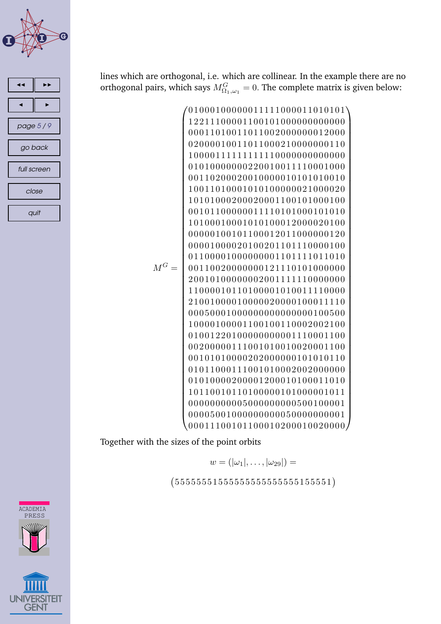



lines which are orthogonal, i.e. which are collinear. In the example there are no orthogonal pairs, which says  $M_{\Omega_1,\omega_1}^G=0.$  The complete matrix is given below:

M<sup>G</sup> = 01000100000011111000011010101 12211100001100101000000000000 00011010011011002000000012000 02000010011011000210000000110 10000111111111110000000000000 01010000000220010011110001000 00110200020010000010101010010 10011010001010100000021000020 10101000200020001100101000100 00101100000011110101000101010 10100010001010100012000020100 00000100101100012011000000120 00001000020100201101110000100 01100001000000001101111011010 00110020000000121110101000000 20010100000002001111110000000 11000010110100001010011110000 21001000010000020000100011110 00050001000000000000000100500 10000100001100100110002002100 01001220100000000001110001100 00200000111001010010020001100 00101010000202000000101010110 01011000111001010002002000000 01010000200001200010100011010 10110010110100000101000001011 00000000005000000000500100001 00005001000000000050000000001 00011100101100010200010020000 

Together with the sizes of the point orbits

$$
w=(|\omega_1|,\ldots,|\omega_{29}|)=
$$

 $(55555515555555555555551)$ 



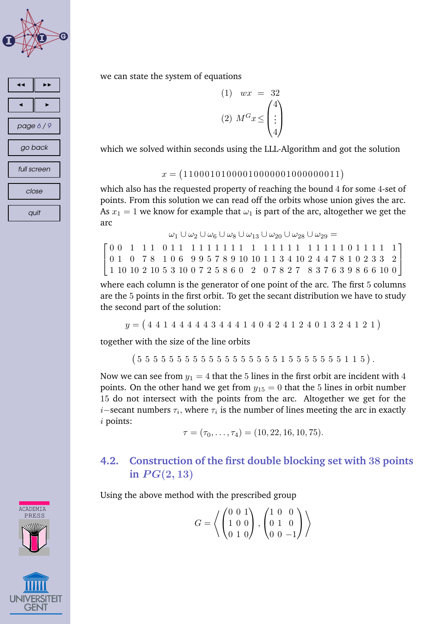



we can state the system of equations

$$
(1) \quad wx = 32
$$

$$
(2) \quad M^G x \le \begin{pmatrix} 4\\ \vdots\\ 4 \end{pmatrix}
$$

which we solved within seconds using the LLL-Algorithm and got the solution

### $x = (11000101000010000001000000011)$

which also has the requested property of reaching the bound 4 for some 4-set of points. From this solution we can read off the orbits whose union gives the arc. As  $x_1 = 1$  we know for example that  $\omega_1$  is part of the arc, altogether we get the arc

|  |  |  |  |  |  |  |  |  |  | $\omega_1 \cup \omega_2 \cup \omega_6 \cup \omega_8 \cup \omega_{13} \cup \omega_{20} \cup \omega_{28} \cup \omega_{29} = 0$ |  |  |  |  |                                                                                                                                                                  |  |
|--|--|--|--|--|--|--|--|--|--|------------------------------------------------------------------------------------------------------------------------------|--|--|--|--|------------------------------------------------------------------------------------------------------------------------------------------------------------------|--|
|  |  |  |  |  |  |  |  |  |  |                                                                                                                              |  |  |  |  |                                                                                                                                                                  |  |
|  |  |  |  |  |  |  |  |  |  |                                                                                                                              |  |  |  |  | $\begin{bmatrix} 0 & 1 & 0 & 7 & 8 & 1 & 0 & 6 & 9 & 9 & 5 & 7 & 8 & 9 & 10 & 10 & 1 & 1 & 3 & 4 & 10 & 2 & 4 & 4 & 7 & 8 & 1 & 0 & 2 & 3 & 3 & 2 \end{bmatrix}$ |  |
|  |  |  |  |  |  |  |  |  |  |                                                                                                                              |  |  |  |  | $1\; 10\; 10\; 2\; 10\; 5\; 3\; 10\; 0\; 7\; 2\; 5\; 8\; 6\; 0\; 2\; 0\; 7\; 8\; 2\; 7\; 8\; 3\; 7\; 6\; 3\; 9\; 8\; 6\; 6\; 10\; 0$                             |  |

where each column is the generator of one point of the arc. The first 5 columns are the 5 points in the first orbit. To get the secant distribution we have to study the second part of the solution:

```
y = (4411444444344414042412401324121)
```
together with the size of the line orbits

 $(5555555555555555551555555115).$ 

Now we can see from  $y_1 = 4$  that the 5 lines in the first orbit are incident with 4 points. On the other hand we get from  $y_{15} = 0$  that the 5 lines in orbit number 15 do not intersect with the points from the arc. Altogether we get for the  $i-$ secant numbers  $\tau_i,$  where  $\tau_i$  is the number of lines meeting the arc in exactly i points:

$$
\tau = (\tau_0, \ldots, \tau_4) = (10, 22, 16, 10, 75).
$$

### **4.2. Construction of the first double blocking set with** 38 **points**  $i$ **n**  $PG(2, 13)$

Using the above method with the prescribed group

$$
G = \left\langle \begin{pmatrix} 0 & 0 & 1 \\ 1 & 0 & 0 \\ 0 & 1 & 0 \end{pmatrix}, \begin{pmatrix} 1 & 0 & 0 \\ 0 & 1 & 0 \\ 0 & 0 & -1 \end{pmatrix} \right\rangle
$$

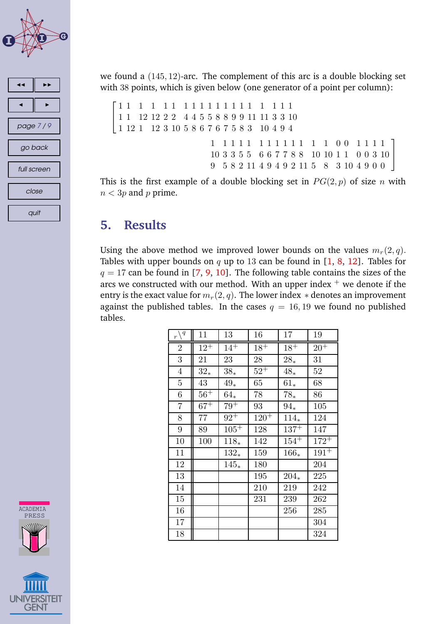



we found a (145, 12)-arc. The complement of this arc is a double blocking set with 38 points, which is given below (one generator of a point per column):

```
\sqrt{ }\overline{1}1 1 1 1 1 1 1 1 1 1 1 1 1 1 1 1 1 1 1
1 1 12 12 2 2 4 4 5 5 8 8 9 9 11 11 3 3 10
1 12 1 12 3 10 5 8 6 7 6 7 5 8 3 10 4 9 4
                       1 1 1 1 1 1 1 1 1 1 1 1 1 0 0 1 1 1 1

                       10 3 3 5 5 6 6 7 7 8 8 10 10 1 1 0 0 3 10

                      9 5 8 2 11 4 9 4 9 2 11 5 8 3 10 4 9 0 0
```
This is the first example of a double blocking set in  $PG(2, p)$  of size n with  $n < 3p$  and p prime.

## **5. Results**

Using the above method we improved lower bounds on the values  $m_r(2, q)$ . Tables with upper bounds on  $q$  up to 13 can be found in  $[1, 8, 12]$  $[1, 8, 12]$  $[1, 8, 12]$  $[1, 8, 12]$  $[1, 8, 12]$ . Tables for  $q = 17$  can be found in [\[7,](#page-7-0) [9,](#page-7-0) [10\]](#page-7-0). The following table contains the sizes of the arcs we constructed with our method. With an upper index  $^+$  we denote if the entry is the exact value for  $m_r(2, q)$ . The lower index  $*$  denotes an improvement against the published tables. In the cases  $q = 16, 19$  we found no published tables.

| $_r\backslash\real^q$ | 11       | 13       | 16        | 17        | 19        |
|-----------------------|----------|----------|-----------|-----------|-----------|
| $\overline{2}$        | $12^{+}$ | $14^{+}$ | $18^{+}$  | $18^{+}$  | $20^{+}$  |
| 3                     | 21       | 23       | 28        | $28_{*}$  | 31        |
| $\overline{4}$        | $32_*$   | $38*$    | $52^{+}$  | $48_{*}$  | 52        |
| $\overline{5}$        | 43       | $49_*$   | 65        | $61_*$    | 68        |
| 6                     | $56^{+}$ | $64_{*}$ | 78        | $78*$     | 86        |
| $\overline{7}$        | $67^+$   | $79+$    | 93        | $94_{*}$  | 105       |
| 8                     | 77       | $92^+$   | $120^{+}$ | $114_{*}$ | 124       |
| 9                     | 89       | $105+$   | 128       | $137+$    | 147       |
| 10                    | 100      | $118_*$  | 142       | $154^{+}$ | $172^{+}$ |
| 11                    |          | $132_*$  | 159       | $166_*$   | $191^{+}$ |
| 12                    |          | $145*$   | 180       |           | 204       |
| 13                    |          |          | 195       | $204_{*}$ | 225       |
| 14                    |          |          | 210       | 219       | 242       |
| 15                    |          |          | 231       | 239       | 262       |
| 16                    |          |          |           | 256       | 285       |
| 17                    |          |          |           |           | 304       |
| 18                    |          |          |           |           | 324       |



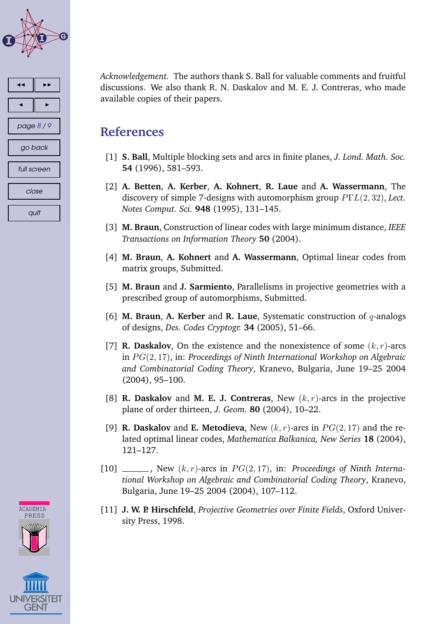<span id="page-7-0"></span>

| ◀           |            |  |  |  |  |  |  |
|-------------|------------|--|--|--|--|--|--|
|             |            |  |  |  |  |  |  |
|             | page 8 / 9 |  |  |  |  |  |  |
| go back     |            |  |  |  |  |  |  |
| full screen |            |  |  |  |  |  |  |
| close       |            |  |  |  |  |  |  |
|             | quit       |  |  |  |  |  |  |

*Acknowledgement.* The authors thank S. Ball for valuable comments and fruitful discussions. We also thank R. N. Daskalov and M. E. J. Contreras, who made available copies of their papers.

### **References**

- [1] **S. Ball**, Multiple blocking sets and arcs in finite planes, *J. Lond. Math. Soc.* **54** (1996), 581–593.
- [2] **A. Betten**, **A. Kerber**, **A. Kohnert**, **R. Laue** and **A. Wassermann**, The discovery of simple 7-designs with automorphism group PΓL(2, 32), *Lect. Notes Comput. Sci.* **948** (1995), 131–145.
- [3] **M. Braun**, Construction of linear codes with large minimum distance, *IEEE Transactions on Information Theory* **50** (2004).
- [4] **M. Braun**, **A. Kohnert** and **A. Wassermann**, Optimal linear codes from matrix groups, Submitted.
- [5] **M. Braun** and **J. Sarmiento**, Parallelisms in projective geometries with a prescribed group of automorphisms, Submitted.
- [6] **M. Braun**, **A. Kerber** and **R. Laue**, Systematic construction of q-analogs of designs, *Des. Codes Cryptogr.* **34** (2005), 51–66.
- [7] **R. Daskalov**, On the existence and the nonexistence of some  $(k, r)$ -arcs in PG(2, 17), in: *Proceedings of Ninth International Workshop on Algebraic and Combinatorial Coding Theory*, Kranevo, Bulgaria, June 19–25 2004 (2004), 95–100.
- [8] **R. Daskalov** and **M. E. J. Contreras**, New (k, r)-arcs in the projective plane of order thirteen, *J. Geom.* **80** (2004), 10–22.
- [9] **R. Daskalov** and **E. Metodieva**, New  $(k, r)$ -arcs in  $PG(2, 17)$  and the related optimal linear codes, *Mathematica Balkanica, New Series* **18** (2004), 121–127.
- $[10]$  \_\_\_\_, New  $(k, r)$ -arcs in  $PG(2, 17)$ , in: *Proceedings of Ninth International Workshop on Algebraic and Combinatorial Coding Theory*, Kranevo, Bulgaria, June 19–25 2004 (2004), 107–112.
- [11] **J. W. P. Hirschfeld**, *Projective Geometries over Finite Fields*, Oxford University Press, 1998.